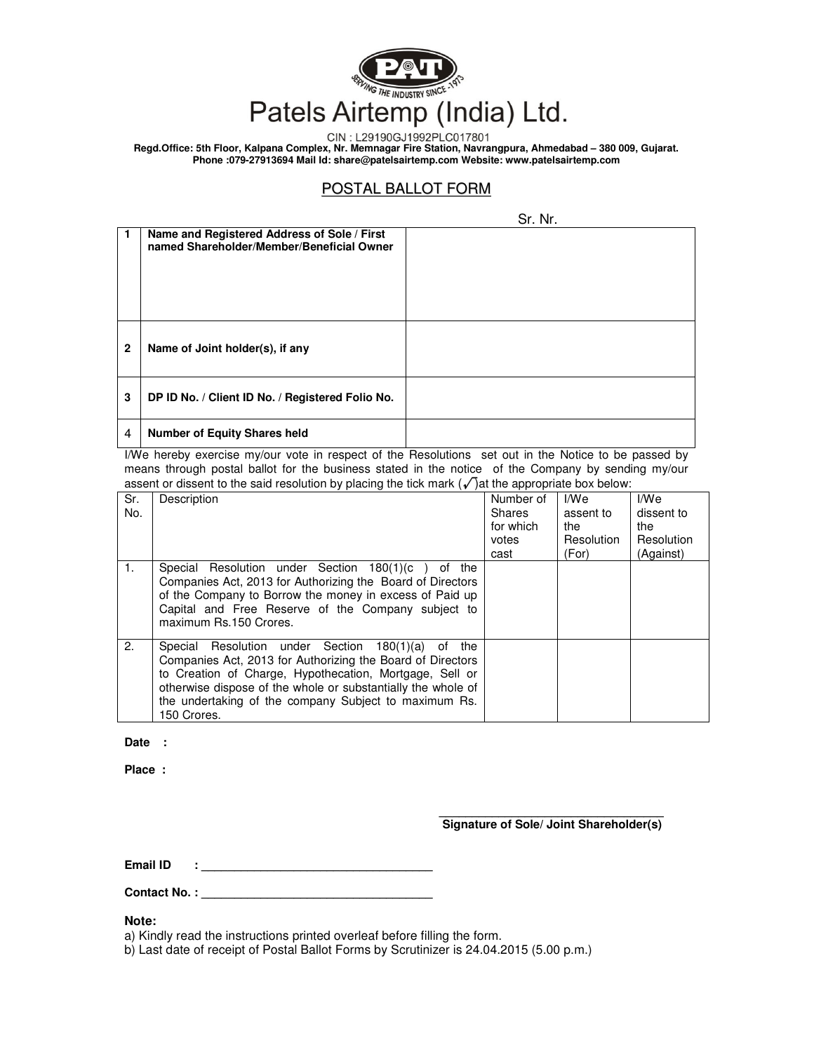

CIN: L29190GJ1992PLC017801

**Regd.Office: 5th Floor, Kalpana Complex, Nr. Memnagar Fire Station, Navrangpura, Ahmedabad – 380 009, Gujarat. Phone :079-27913694 Mail Id: share@patelsairtemp.com Website: www.patelsairtemp.com** 

## POSTAL BALLOT FORM

|              |                                                                                          | Sr. Nr. |  |  |
|--------------|------------------------------------------------------------------------------------------|---------|--|--|
| l 1          | Name and Registered Address of Sole / First<br>named Shareholder/Member/Beneficial Owner |         |  |  |
| $\mathbf{2}$ | Name of Joint holder(s), if any                                                          |         |  |  |
| 3            | DP ID No. / Client ID No. / Registered Folio No.                                         |         |  |  |
| 4            | <b>Number of Equity Shares held</b>                                                      |         |  |  |

I/We hereby exercise my/our vote in respect of the Resolutions set out in the Notice to be passed by means through postal ballot for the business stated in the notice of the Company by sending my/our assent or dissent to the said resolution by placing the tick mark  $(\sqrt{\ }$  at the appropriate box below:

| Sr. | Description                                                                                                                                                                                                                                                                                                              | Number of | I/We       | I/We       |
|-----|--------------------------------------------------------------------------------------------------------------------------------------------------------------------------------------------------------------------------------------------------------------------------------------------------------------------------|-----------|------------|------------|
| No. |                                                                                                                                                                                                                                                                                                                          | Shares    | assent to  | dissent to |
|     |                                                                                                                                                                                                                                                                                                                          | for which | the        | the        |
|     |                                                                                                                                                                                                                                                                                                                          | votes     | Resolution | Resolution |
|     |                                                                                                                                                                                                                                                                                                                          | cast      | (For)      | (Against)  |
| 1.  | Special Resolution under Section 180(1)(c<br>the<br>of<br>Companies Act, 2013 for Authorizing the Board of Directors<br>of the Company to Borrow the money in excess of Paid up<br>Capital and Free Reserve of the Company subject to<br>maximum Rs.150 Crores.                                                          |           |            |            |
| 2.  | Special Resolution under Section 180(1)(a)<br>the<br>0f<br>Companies Act, 2013 for Authorizing the Board of Directors<br>to Creation of Charge, Hypothecation, Mortgage, Sell or<br>otherwise dispose of the whole or substantially the whole of<br>the undertaking of the company Subject to maximum Rs.<br>150 Crores. |           |            |            |
|     |                                                                                                                                                                                                                                                                                                                          |           |            |            |

Date :

**Place :** 

**\_\_\_\_\_\_\_\_\_\_\_\_\_\_\_\_\_\_\_\_\_\_\_\_\_\_\_\_\_\_\_\_\_\_ Signature of Sole/ Joint Shareholder(s)** 

**Email ID** 

Contact No.:\_

**Note:** 

a) Kindly read the instructions printed overleaf before filling the form.

b) Last date of receipt of Postal Ballot Forms by Scrutinizer is 24.04.2015 (5.00 p.m.)